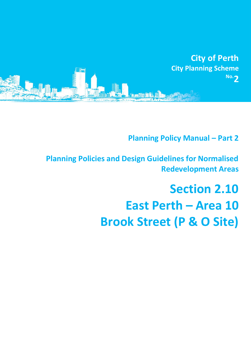

# **Planning Policy Manual - Part 2**

**Planning Policies and Design Guidelines for Normalised Redevelopment Areas**

# **Section 2.10 East Perth – Area 10 Brook Street (P & O Site)**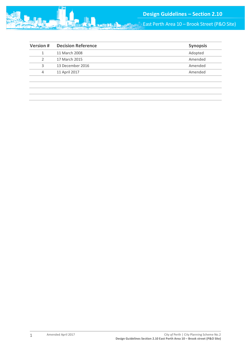

| <b>Version#</b> | <b>Decision Reference</b> | <b>Synopsis</b> |
|-----------------|---------------------------|-----------------|
|                 | 11 March 2008             | Adopted         |
|                 | 17 March 2015             | Amended         |
| 3               | 13 December 2016          | Amended         |
| 4               | 11 April 2017             | Amended         |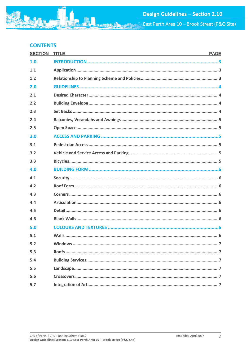East Perth Area 10 - Brook Street (P&O Site)

# **CONTENTS**

| <b>SECTION</b> | <b>TITLE</b><br><b>PAGE</b><br>the control of the control of the control of the control of the control of the control of the control of the control of the control of the control of the control of the control of the control of the control of the control |
|----------------|--------------------------------------------------------------------------------------------------------------------------------------------------------------------------------------------------------------------------------------------------------------|
| 1.0            |                                                                                                                                                                                                                                                              |
| 1.1            |                                                                                                                                                                                                                                                              |
| 1.2            |                                                                                                                                                                                                                                                              |
| 2.0            |                                                                                                                                                                                                                                                              |
| 2.1            |                                                                                                                                                                                                                                                              |
| 2.2            |                                                                                                                                                                                                                                                              |
| 2.3            |                                                                                                                                                                                                                                                              |
| 2.4            |                                                                                                                                                                                                                                                              |
| 2.5            |                                                                                                                                                                                                                                                              |
| 3.0            |                                                                                                                                                                                                                                                              |
| 3.1            |                                                                                                                                                                                                                                                              |
| 3.2            |                                                                                                                                                                                                                                                              |
| 3.3            |                                                                                                                                                                                                                                                              |
| 4.0            |                                                                                                                                                                                                                                                              |
| 4.1            |                                                                                                                                                                                                                                                              |
| 4.2            |                                                                                                                                                                                                                                                              |
| 4.3            |                                                                                                                                                                                                                                                              |
| 4.4            |                                                                                                                                                                                                                                                              |
| 4.5            |                                                                                                                                                                                                                                                              |
| 4.6            |                                                                                                                                                                                                                                                              |
| 5.0            |                                                                                                                                                                                                                                                              |
| 5.1            |                                                                                                                                                                                                                                                              |
| 5.2            |                                                                                                                                                                                                                                                              |
| 5.3            |                                                                                                                                                                                                                                                              |
| 5.4            |                                                                                                                                                                                                                                                              |
| 5.5            |                                                                                                                                                                                                                                                              |
| 5.6            |                                                                                                                                                                                                                                                              |
| 5.7            |                                                                                                                                                                                                                                                              |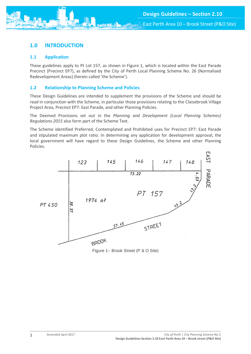

East Perth Area 10 – Brook Street (P&O Site)

# <span id="page-3-0"></span>**1.0 INTRODUCTION**

#### <span id="page-3-1"></span>**1.1 Application**

These guidelines apply to Pt Lot 157, as shown in Figure 1, which is located within the East Parade Precinct (Precinct EP7), as defined by the City of Perth Local Planning Scheme No. 26 (Normalised Redevelopment Areas) (herein called 'the Scheme').

#### <span id="page-3-2"></span>**1.2 Relationship to Planning Scheme and Policies**

These Design Guidelines are intended to supplement the provisions of the Scheme and should be read in conjunction with the Scheme, in particular those provisions relating to the Claisebrook Village Project Area, Precinct EP7: East Parade, and other Planning Policies.

The Deemed Provisions set out in the *Planning and Development (Local Planning Schemes) Regulations 2015* also form part of the Scheme Text.

The Scheme identified Preferred, Contemplated and Prohibited uses for Precinct EP7: East Parade and stipulated maximum plot ratio. In determining any application for development approval, the local government will have regard to these Design Guidelines, the Scheme and other Planning Policies.



Figure 1:- Brook Street (P & O Site)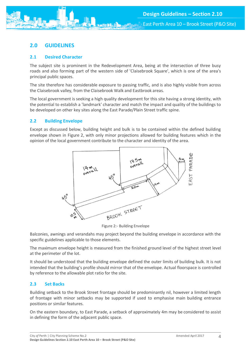

East Perth Area 10 – Brook Street (P&O Site)

# <span id="page-4-0"></span>**2.0 GUIDELINES**

#### <span id="page-4-1"></span>**2.1 Desired Character**

The subject site is prominent in the Redevelopment Area, being at the intersection of three busy roads and also forming part of the western side of 'Claisebrook Square', which is one of the area's principal public spaces.

The site therefore has considerable exposure to passing traffic, and is also highly visible from across the Claisebrook valley, from the Claisebrook Walk and Eastbrook areas.

The local government is seeking a high quality development for this site having a strong identity, with the potential to establish a 'landmark' character and match the impact and quality of the buildings to be developed on other key sites along the East Parade/Plain Street traffic spine.

#### <span id="page-4-2"></span>**2.2 Building Envelope**

Except as discussed below, building height and bulk is to be contained within the defined building envelope shown in Figure 2, with only minor projections allowed for building features which in the opinion of the local government contribute to the character and identity of the area.



Figure 2:- Building Envelope

Balconies, awnings and verandahs may project beyond the building envelope in accordance with the specific guidelines applicable to those elements.

The maximum envelope height is measured from the finished ground level of the highest street level at the perimeter of the lot.

It should be understood that the building envelope defined the outer limits of building bulk. It is not intended that the building's profile should mirror that of the envelope. Actual floorspace is controlled by reference to the allowable plot ratio for the site.

#### <span id="page-4-3"></span>**2.3 Set Backs**

Building setback to the Brook Street frontage should be predominantly nil, however a limited length of frontage with minor setbacks may be supported if used to emphasise main building entrance positions or similar features.

On the eastern boundary, to East Parade, a setback of approximately 4m may be considered to assist in defining the form of the adjacent public space.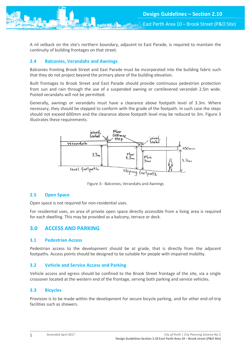A nil setback on the site's northern boundary, adjacent to East Parade, is required to maintain the continuity of building frontages on that street.

#### <span id="page-5-0"></span>**2.4 Balconies, Verandahs and Awnings**

Balconies fronting Brook Street and East Parade must be incorporated into the building fabric such that they do not project beyond the primary plane of the building elevation.

Built frontages to Brook Street and East Parade should provide continuous pedestrian protection from sun and rain through the use of a suspended awning or cantilevered verandah 2.5m wide. Posted verandahs will not be permitted.

Generally, awnings or verandahs must have a clearance above footpath level of 3.3m. Where necessary, they should be stepped to conform with the grade of the footpath. In such case the steps should not exceed 600mm and the clearance above footpath level may be reduced to 3m. Figure 3 illustrates these requirements.



Figure 3:- Balconies, Verandahs and Awnings

#### <span id="page-5-1"></span>**2.5 Open Space**

Open space is not required for non-residential uses.

For residential uses, an area of private open space directly accessible from a living area is required for each dwelling. This may be provided as a balcony, terrace or deck.

#### <span id="page-5-2"></span>**3.0 ACCESS AND PARKING**

#### <span id="page-5-3"></span>**3.1 Pedestrian Access**

Pedestrian access to the development should be at grade, that is directly from the adjacent footpaths. Access points should be designed to be suitable for people with impaired mobility.

#### <span id="page-5-4"></span>**3.2 Vehicle and Service Access and Parking**

Vehicle access and egress should be confined to the Brook Street frontage of the site, via a single crossover located at the western end of the frontage, serving both parking and service vehicles.

#### <span id="page-5-5"></span>**3.3 Bicycles**

Provision is to be made within the development for secure bicycle parking, and for other end-of-trip facilities such as showers.

5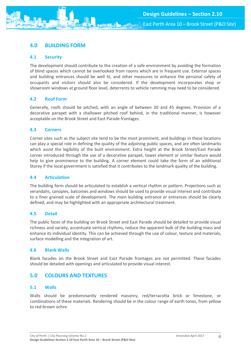## <span id="page-6-0"></span>**4.0 BUILDING FORM**

#### <span id="page-6-1"></span>**4.1 Security**

The development should contribute to the creation of a safe environment by avoiding the formation of blind spaces which cannot be overlooked from rooms which are in frequent use. External spaces and building entrances should be well lit, and other measures to enhance the personal safety of occupants and visitors should also be considered. If the development incorporates shop or showroom windows at ground floor level, deterrents to vehicle ramming may need to be considered.

#### <span id="page-6-2"></span>**4.2 Roof Form**

Generally, roofs should be pitched, with an angle of between 30 and 45 degrees. Provision of a decorative parapet with a shallower pitched roof behind, in the traditional manner, is however acceptable on the Brook Street and East Parade frontages.

#### <span id="page-6-3"></span>**4.3 Corners**

Corner sites such as the subject site tend to be the most prominent, and buildings in these locations can play a special role in defining the quality of the adjoining public spaces, and are often landmarks which assist the legibility of the built environment. Extra height at the Brook Street/East Parade corner introduced through the use of a decorative parapet, tower element or similar feature would help to give prominence to the building. A corner element could take the form of an additional Storey if the local government is satisfied that it contributes to the landmark quality of the building.

#### <span id="page-6-4"></span>**4.4 Articulation**

The building form should be articulated to establish a vertical rhythm or pattern. Projections such as verandahs, canopies, balconies and windows should be used to provide visual interest and contribute to a finer grained scale of development. The main building entrance or entrances should be clearly defined, and may be highlighted with an appropriate architectural treatment.

#### <span id="page-6-5"></span>**4.5 Detail**

The public faces of the building on Brook Street and East Parade should be detailed to provide visual richness and variety, accentuate vertical rhythms, reduce the apparent bulk of the building mass and enhance its individual identity. This can be achieved through the use of colour, texture and materials, surface modelling and the integration of art.

#### <span id="page-6-6"></span>**4.6 Blank Walls**

Blank facades on the Brook Street and East Parade frontages are not permitted. These facades should be detailed with openings and articulated to provide visual interest.

## <span id="page-6-7"></span>**5.0 COLOURS AND TEXTURES**

#### <span id="page-6-8"></span>**5.1 Walls**

Walls should be predominantly rendered masonry, red/terracotta brick or limestone, or combinations of these materials. Rendering should be in the colour range of earth tones, from yellow to red-brown ochre.